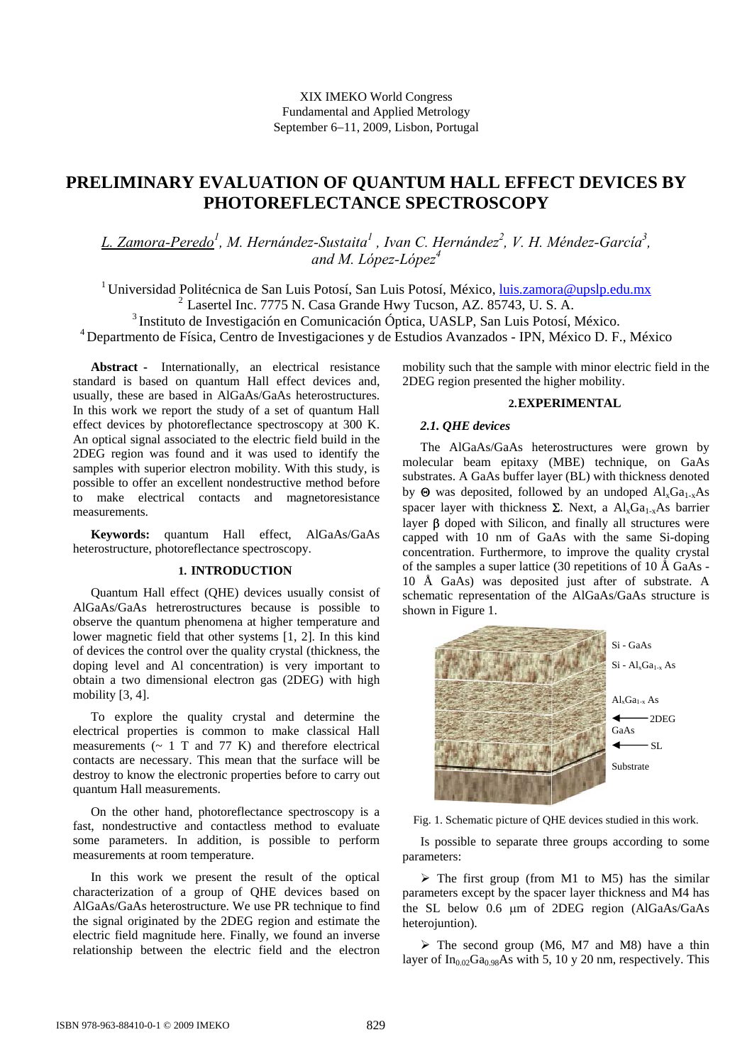# **PRELIMINARY EVALUATION OF QUANTUM HALL EFFECT DEVICES BY PHOTOREFLECTANCE SPECTROSCOPY**

L. Zamora-Peredo<sup>1</sup>, M. Hernández-Sustaita<sup>l</sup>, Ivan C. Hernández<sup>2</sup>, V. H. Méndez-García<sup>3</sup>, *and M. López-López<sup>4</sup>*

<sup>1</sup> Universidad Politécnica de San Luis Potosí, San Luis Potosí, México, luis.zamora@upslp.edu.mx 2 Lasertel Inc. 7775 N. Casa Grande Hwy Tucson, AZ. 85743, U. S. A. 3 Instituto de Investigación en Comunicación Óptica, UASLP, San Luis Potosí, México. 4 Departmento de Física, Centro de Investigaciones y de Estudios Avanzados - IPN, México D. F., México

**Abstract -** Internationally, an electrical resistance standard is based on quantum Hall effect devices and, usually, these are based in AlGaAs/GaAs heterostructures. In this work we report the study of a set of quantum Hall effect devices by photoreflectance spectroscopy at 300 K. An optical signal associated to the electric field build in the 2DEG region was found and it was used to identify the samples with superior electron mobility. With this study, is possible to offer an excellent nondestructive method before to make electrical contacts and magnetoresistance measurements.

**Keywords:** quantum Hall effect, AlGaAs/GaAs heterostructure, photoreflectance spectroscopy.

# **1. INTRODUCTION**

Quantum Hall effect (QHE) devices usually consist of AlGaAs/GaAs hetrerostructures because is possible to observe the quantum phenomena at higher temperature and lower magnetic field that other systems [1, 2]. In this kind of devices the control over the quality crystal (thickness, the doping level and Al concentration) is very important to obtain a two dimensional electron gas (2DEG) with high mobility [3, 4].

To explore the quality crystal and determine the electrical properties is common to make classical Hall measurements  $({\sim} 1$  T and 77 K) and therefore electrical contacts are necessary. This mean that the surface will be destroy to know the electronic properties before to carry out quantum Hall measurements.

On the other hand, photoreflectance spectroscopy is a fast, nondestructive and contactless method to evaluate some parameters. In addition, is possible to perform measurements at room temperature.

In this work we present the result of the optical characterization of a group of QHE devices based on AlGaAs/GaAs heterostructure. We use PR technique to find the signal originated by the 2DEG region and estimate the electric field magnitude here. Finally, we found an inverse relationship between the electric field and the electron

mobility such that the sample with minor electric field in the 2DEG region presented the higher mobility.

#### **2.EXPERIMENTAL**

# *2.1. QHE devices*

The AlGaAs/GaAs heterostructures were grown by molecular beam epitaxy (MBE) technique, on GaAs substrates. A GaAs buffer layer (BL) with thickness denoted by  $\Theta$  was deposited, followed by an undoped  $Al_xGa_{1-x}As$ spacer layer with thickness  $\Sigma$ . Next, a Al<sub>x</sub>Ga<sub>1-x</sub>As barrier layer β doped with Silicon, and finally all structures were capped with 10 nm of GaAs with the same Si-doping concentration. Furthermore, to improve the quality crystal of the samples a super lattice (30 repetitions of 10  $\AA$  GaAs -10 Å GaAs) was deposited just after of substrate. A schematic representation of the AlGaAs/GaAs structure is shown in Figure 1.



Fig. 1. Schematic picture of QHE devices studied in this work.

Is possible to separate three groups according to some parameters:

 $\triangleright$  The first group (from M1 to M5) has the similar parameters except by the spacer layer thickness and M4 has the SL below 0.6 µm of 2DEG region (AlGaAs/GaAs heterojuntion).

 $\triangleright$  The second group (M6, M7 and M8) have a thin layer of  $In<sub>0.02</sub>Ga<sub>0.98</sub>As with 5, 10 y 20 nm, respectively. This$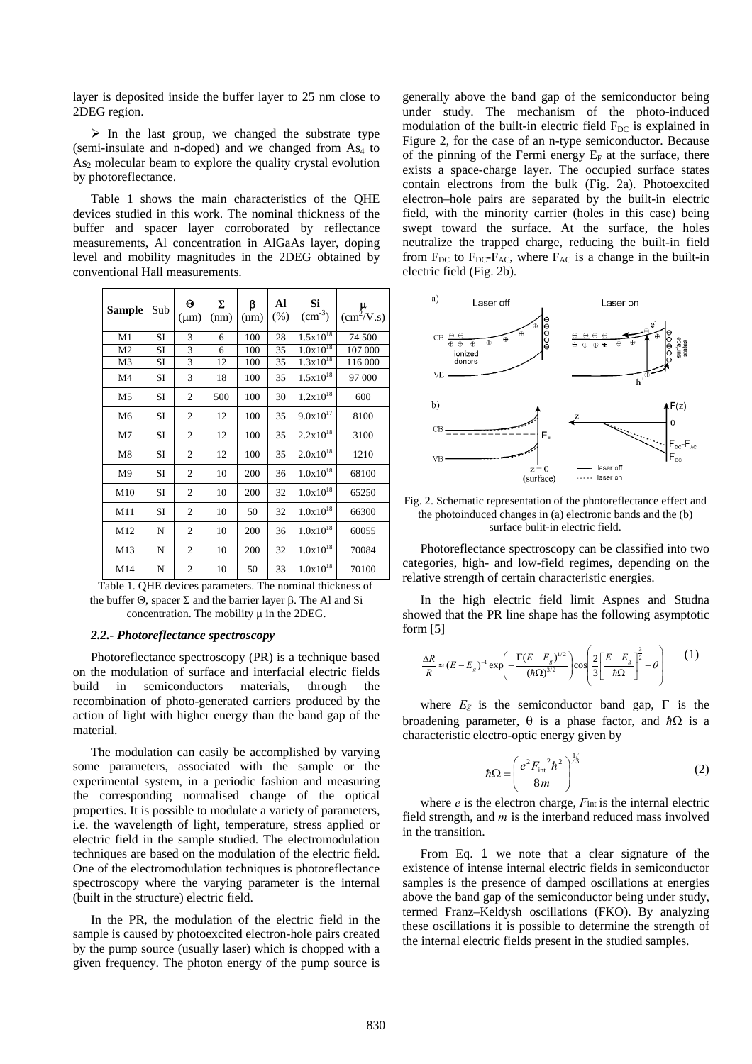layer is deposited inside the buffer layer to 25 nm close to 2DEG region.

 $\triangleright$  In the last group, we changed the substrate type (semi-insulate and n-doped) and we changed from  $As<sub>4</sub>$  to  $As<sub>2</sub>$  molecular beam to explore the quality crystal evolution by photoreflectance.

Table 1 shows the main characteristics of the QHE devices studied in this work. The nominal thickness of the buffer and spacer layer corroborated by reflectance measurements, Al concentration in AlGaAs layer, doping level and mobility magnitudes in the 2DEG obtained by conventional Hall measurements.

| Sample         | Sub       | Θ<br>$(\mu m)$ | Σ<br>(nm) | β<br>(nm) | Al<br>(% ) | Si<br>$\text{cm}^{-3}$ ) | $\mu$ <sub>(cm<sup>2</sup>/V.s)</sub> |
|----------------|-----------|----------------|-----------|-----------|------------|--------------------------|---------------------------------------|
| M1             | SI        | 3              | 6         | 100       | 28         | $1.5x10^{18}$            | 74 500                                |
| M <sub>2</sub> | <b>SI</b> | 3              | 6         | 100       | 35         | $1.0x10^{18}$            | 107 000                               |
| M3             | SI        | 3              | 12        | 100       | 35         | $1.3x10^{18}$            | 116 000                               |
| M4             | SI        | 3              | 18        | 100       | 35         | $1.5x10^{18}$            | 97 000                                |
| M <sub>5</sub> | SI        | $\overline{c}$ | 500       | 100       | 30         | $1.2x10^{18}$            | 600                                   |
| M <sub>6</sub> | SI        | $\overline{2}$ | 12        | 100       | 35         | $9.0x10^{17}$            | 8100                                  |
| M7             | SI        | $\overline{2}$ | 12        | 100       | 35         | $2.2x10^{18}$            | 3100                                  |
| M8             | SI        | $\overline{2}$ | 12        | 100       | 35         | $2.0x10^{18}$            | 1210                                  |
| M9             | SI        | $\overline{2}$ | 10        | 200       | 36         | $1.0x10^{18}$            | 68100                                 |
| M10            | SI        | $\overline{2}$ | 10        | 200       | 32         | $1.0x10^{18}$            | 65250                                 |
| M11            | <b>SI</b> | $\overline{2}$ | 10        | 50        | 32         | $1.0x10^{18}$            | 66300                                 |
| M12            | N         | $\overline{2}$ | 10        | 200       | 36         | $1.0x10^{18}$            | 60055                                 |
| M13            | N         | $\overline{c}$ | 10        | 200       | 32         | $1.0x10^{18}$            | 70084                                 |
| M14            | N         | 2              | 10        | 50        | 33         | $1.0x10^{18}$            | 70100                                 |

Table 1. QHE devices parameters. The nominal thickness of the buffer  $Θ$ , spacer  $Σ$  and the barrier layer  $β$ . The Al and Si concentration. The mobility  $\mu$  in the 2DEG.

# *2.2.- Photoreflectance spectroscopy*

Photoreflectance spectroscopy (PR) is a technique based on the modulation of surface and interfacial electric fields build in semiconductors materials, through the recombination of photo-generated carriers produced by the action of light with higher energy than the band gap of the material.

The modulation can easily be accomplished by varying some parameters, associated with the sample or the experimental system, in a periodic fashion and measuring the corresponding normalised change of the optical properties. It is possible to modulate a variety of parameters, i.e. the wavelength of light, temperature, stress applied or electric field in the sample studied. The electromodulation techniques are based on the modulation of the electric field. One of the electromodulation techniques is photoreflectance spectroscopy where the varying parameter is the internal (built in the structure) electric field.

In the PR, the modulation of the electric field in the sample is caused by photoexcited electron-hole pairs created by the pump source (usually laser) which is chopped with a given frequency. The photon energy of the pump source is

generally above the band gap of the semiconductor being under study. The mechanism of the photo-induced modulation of the built-in electric field  $F_{DC}$  is explained in Figure 2, for the case of an n-type semiconductor. Because of the pinning of the Fermi energy  $E_F$  at the surface, there exists a space-charge layer. The occupied surface states contain electrons from the bulk (Fig. 2a). Photoexcited electron–hole pairs are separated by the built-in electric field, with the minority carrier (holes in this case) being swept toward the surface. At the surface, the holes neutralize the trapped charge, reducing the built-in field from  $F_{DC}$  to  $F_{DC}$ - $F_{AC}$ , where  $F_{AC}$  is a change in the built-in electric field (Fig. 2b).



Fig. 2. Schematic representation of the photoreflectance effect and the photoinduced changes in (a) electronic bands and the (b) surface bulit-in electric field.

Photoreflectance spectroscopy can be classified into two categories, high- and low-field regimes, depending on the relative strength of certain characteristic energies.

In the high electric field limit Aspnes and Studna showed that the PR line shape has the following asymptotic form [5]

$$
\frac{\Delta R}{R} \approx (E - E_g)^{-1} \exp\left(-\frac{\Gamma(E - E_g)^{1/2}}{(\hbar \Omega)^{3/2}}\right) \cos\left(\frac{2}{3}\left[\frac{E - E_g}{\hbar \Omega}\right]^{\frac{3}{2}} + \theta\right) \tag{1}
$$

where  $E_g$  is the semiconductor band gap,  $\Gamma$  is the broadening parameter, θ is a phase factor, and *ћ*Ω is a characteristic electro-optic energy given by

$$
\hbar\Omega = \left(\frac{e^2 F_{\text{int}}^2 \hbar^2}{8m}\right)^{1/3} \tag{2}
$$

where  $e$  is the electron charge,  $F_{int}$  is the internal electric field strength, and *m* is the interband reduced mass involved in the transition.

From Eq. 1 we note that a clear signature of the existence of intense internal electric fields in semiconductor samples is the presence of damped oscillations at energies above the band gap of the semiconductor being under study, termed Franz–Keldysh oscillations (FKO). By analyzing these oscillations it is possible to determine the strength of the internal electric fields present in the studied samples.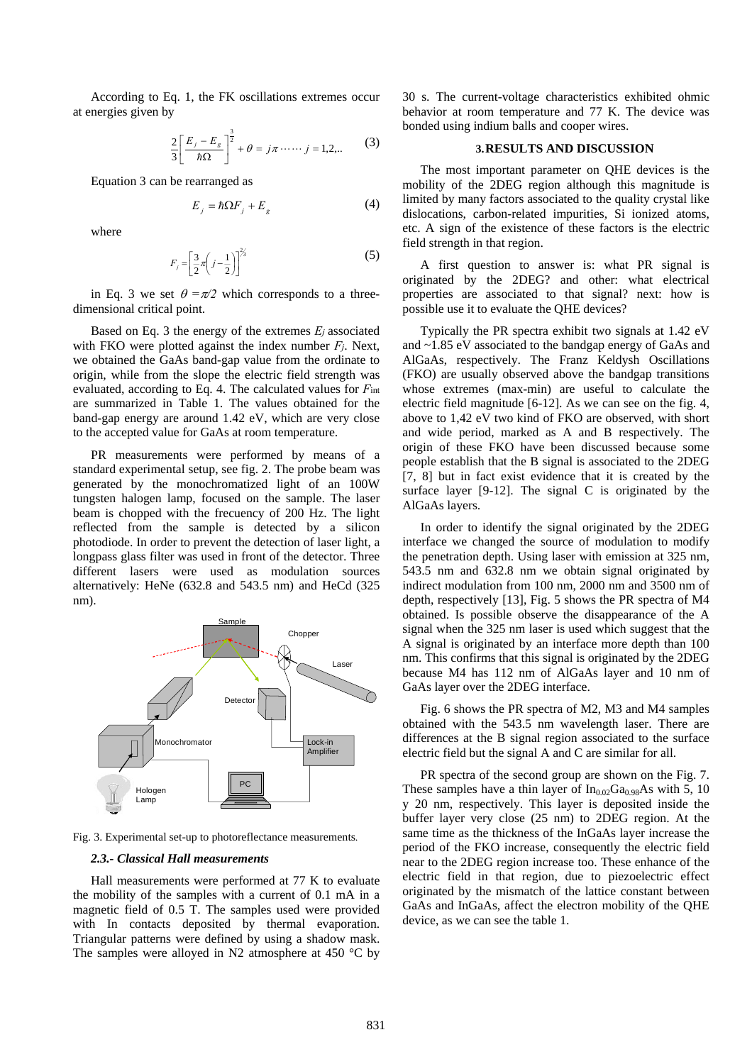According to Eq. 1, the FK oscillations extremes occur at energies given by

$$
\frac{2}{3} \left[ \frac{E_j - E_g}{\hbar \Omega} \right]^{\frac{3}{2}} + \theta = j\pi \cdots j = 1, 2, ... \tag{3}
$$

Equation 3 can be rearranged as

$$
E_j = \hbar \Omega F_j + E_g \tag{4}
$$

where

$$
F_j = \left[\frac{3}{2}\pi\left(j - \frac{1}{2}\right)\right]^{2/3} \tag{5}
$$

in Eq. 3 we set  $\theta = \pi/2$  which corresponds to a threedimensional critical point.

Based on Eq. 3 the energy of the extremes *Ej* associated with FKO were plotted against the index number *Fj*. Next, we obtained the GaAs band-gap value from the ordinate to origin, while from the slope the electric field strength was evaluated, according to Eq. 4. The calculated values for *F*int are summarized in Table 1. The values obtained for the band-gap energy are around 1.42 eV, which are very close to the accepted value for GaAs at room temperature.

PR measurements were performed by means of a standard experimental setup, see fig. 2. The probe beam was generated by the monochromatized light of an 100W tungsten halogen lamp, focused on the sample. The laser beam is chopped with the frecuency of 200 Hz. The light reflected from the sample is detected by a silicon photodiode. In order to prevent the detection of laser light, a longpass glass filter was used in front of the detector. Three different lasers were used as modulation sources alternatively: HeNe (632.8 and 543.5 nm) and HeCd (325 nm).



Fig. 3. Experimental set-up to photoreflectance measurements.

## *2.3.- Classical Hall measurements*

Hall measurements were performed at 77 K to evaluate the mobility of the samples with a current of 0.1 mA in a magnetic field of 0.5 T. The samples used were provided with In contacts deposited by thermal evaporation. Triangular patterns were defined by using a shadow mask. The samples were alloyed in N2 atmosphere at 450  $^{\circ}$ C by

30 s. The current-voltage characteristics exhibited ohmic behavior at room temperature and 77 K. The device was bonded using indium balls and cooper wires.

#### **3.RESULTS AND DISCUSSION**

The most important parameter on QHE devices is the mobility of the 2DEG region although this magnitude is limited by many factors associated to the quality crystal like dislocations, carbon-related impurities, Si ionized atoms, etc. A sign of the existence of these factors is the electric field strength in that region.

A first question to answer is: what PR signal is originated by the 2DEG? and other: what electrical properties are associated to that signal? next: how is possible use it to evaluate the QHE devices?

Typically the PR spectra exhibit two signals at 1.42 eV and ~1.85 eV associated to the bandgap energy of GaAs and AlGaAs, respectively. The Franz Keldysh Oscillations (FKO) are usually observed above the bandgap transitions whose extremes (max-min) are useful to calculate the electric field magnitude [6-12]. As we can see on the fig. 4, above to 1,42 eV two kind of FKO are observed, with short and wide period, marked as A and B respectively. The origin of these FKO have been discussed because some people establish that the B signal is associated to the 2DEG [7, 8] but in fact exist evidence that it is created by the surface layer [9-12]. The signal C is originated by the AlGaAs layers.

In order to identify the signal originated by the 2DEG interface we changed the source of modulation to modify the penetration depth. Using laser with emission at 325 nm, 543.5 nm and 632.8 nm we obtain signal originated by indirect modulation from 100 nm, 2000 nm and 3500 nm of depth, respectively [13], Fig. 5 shows the PR spectra of M4 obtained. Is possible observe the disappearance of the A signal when the 325 nm laser is used which suggest that the A signal is originated by an interface more depth than 100 nm. This confirms that this signal is originated by the 2DEG because M4 has 112 nm of AlGaAs layer and 10 nm of GaAs layer over the 2DEG interface.

Fig. 6 shows the PR spectra of M2, M3 and M4 samples obtained with the 543.5 nm wavelength laser. There are differences at the B signal region associated to the surface electric field but the signal A and C are similar for all.

PR spectra of the second group are shown on the Fig. 7. These samples have a thin layer of  $In_{0.02}Ga_{0.98}As$  with 5, 10 y 20 nm, respectively. This layer is deposited inside the buffer layer very close (25 nm) to 2DEG region. At the same time as the thickness of the InGaAs layer increase the period of the FKO increase, consequently the electric field near to the 2DEG region increase too. These enhance of the electric field in that region, due to piezoelectric effect originated by the mismatch of the lattice constant between GaAs and InGaAs, affect the electron mobility of the QHE device, as we can see the table 1.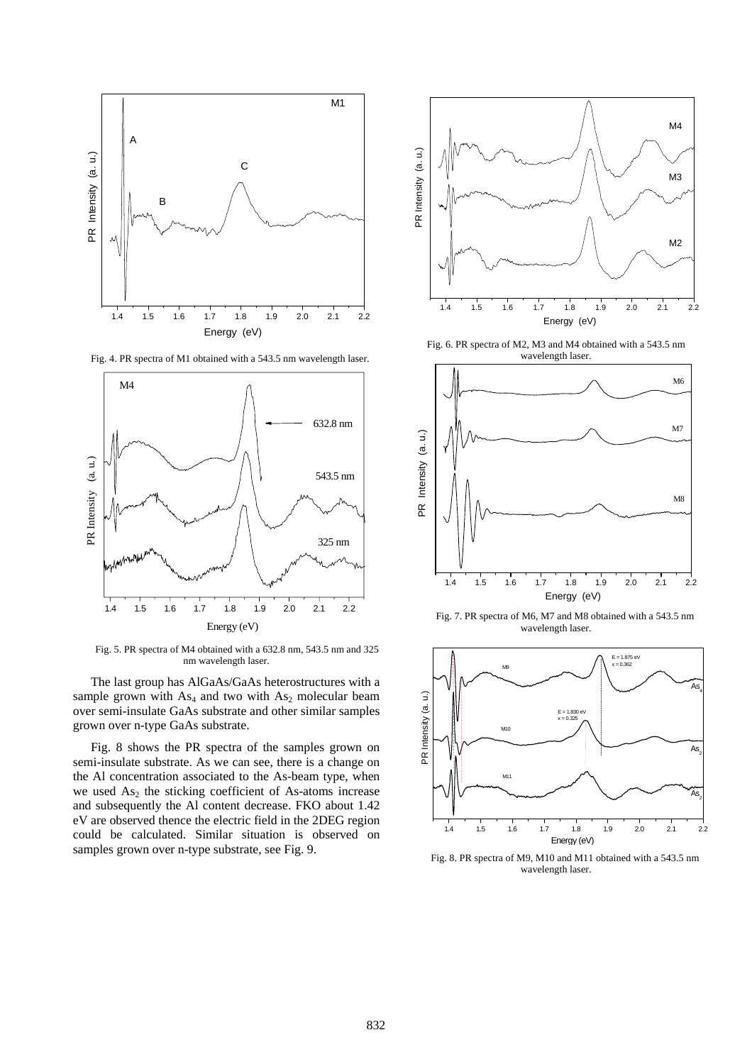

Fig. 4. PR spectra of M1 obtained with a 543.5 nm wavelength laser.



Fig. 5. PR spectra of M4 obtained with a 632.8 nm, 543.5 nm and 325 nm wavelength laser.

The last group has AlGaAs/GaAs heterostructures with a sample grown with  $As<sub>4</sub>$  and two with  $As<sub>2</sub>$  molecular beam over semi-insulate GaAs substrate and other similar samples grown over n-type GaAs substrate.

Fig. 8 shows the PR spectra of the samples grown on semi-insulate substrate. As we can see, there is a change on the Al concentration associated to the As-beam type, when we used  $As<sub>2</sub>$  the sticking coefficient of As-atoms increase and subsequently the Al content decrease. FKO about 1.42 eV are observed thence the electric field in the 2DEG region could be calculated. Similar situation is observed on samples grown over n-type substrate, see Fig. 9.



Fig. 6. PR spectra of M2, M3 and M4 obtained with a 543.5 nm



Fig. 7. PR spectra of M6, M7 and M8 obtained with a 543.5 nm wavelength laser.



Fig. 8. PR spectra of M9, M10 and M11 obtained with a 543.5 nm wavelength laser.